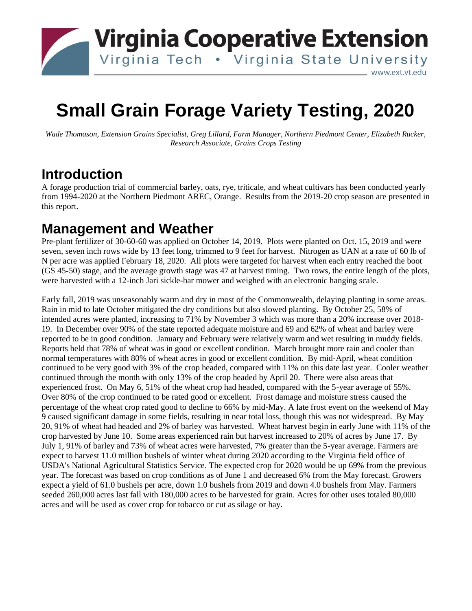

# **Small Grain Forage Variety Testing, 2020**

*Wade Thomason, Extension Grains Specialist, Greg Lillard, Farm Manager, Northern Piedmont Center, Elizabeth Rucker, Research Associate, Grains Crops Testing*

## **Introduction**

A forage production trial of commercial barley, oats, rye, triticale, and wheat cultivars has been conducted yearly from 1994-2020 at the Northern Piedmont AREC, Orange. Results from the 2019-20 crop season are presented in this report.

#### **Management and Weather**

Pre-plant fertilizer of 30-60-60 was applied on October 14, 2019. Plots were planted on Oct. 15, 2019 and were seven, seven inch rows wide by 13 feet long, trimmed to 9 feet for harvest. Nitrogen as UAN at a rate of 60 lb of N per acre was applied February 18, 2020. All plots were targeted for harvest when each entry reached the boot (GS 45-50) stage, and the average growth stage was 47 at harvest timing. Two rows, the entire length of the plots, were harvested with a 12-inch Jari sickle-bar mower and weighed with an electronic hanging scale.

Early fall, 2019 was unseasonably warm and dry in most of the Commonwealth, delaying planting in some areas. Rain in mid to late October mitigated the dry conditions but also slowed planting. By October 25, 58% of intended acres were planted, increasing to 71% by November 3 which was more than a 20% increase over 2018- 19. In December over 90% of the state reported adequate moisture and 69 and 62% of wheat and barley were reported to be in good condition. January and February were relatively warm and wet resulting in muddy fields. Reports held that 78% of wheat was in good or excellent condition. March brought more rain and cooler than normal temperatures with 80% of wheat acres in good or excellent condition. By mid-April, wheat condition continued to be very good with 3% of the crop headed, compared with 11% on this date last year. Cooler weather continued through the month with only 13% of the crop headed by April 20. There were also areas that experienced frost. On May 6, 51% of the wheat crop had headed, compared with the 5-year average of 55%. Over 80% of the crop continued to be rated good or excellent. Frost damage and moisture stress caused the percentage of the wheat crop rated good to decline to 66% by mid-May. A late frost event on the weekend of May 9 caused significant damage in some fields, resulting in near total loss, though this was not widespread. By May 20, 91% of wheat had headed and 2% of barley was harvested. Wheat harvest begin in early June with 11% of the crop harvested by June 10. Some areas experienced rain but harvest increased to 20% of acres by June 17. By July 1, 91% of barley and 73% of wheat acres were harvested, 7% greater than the 5-year average. Farmers are expect to harvest 11.0 million bushels of winter wheat during 2020 according to the Virginia field office of USDA's National Agricultural Statistics Service. The expected crop for 2020 would be up 69% from the previous year. The forecast was based on crop conditions as of June 1 and decreased 6% from the May forecast. Growers expect a yield of 61.0 bushels per acre, down 1.0 bushels from 2019 and down 4.0 bushels from May. Farmers seeded 260,000 acres last fall with 180,000 acres to be harvested for grain. Acres for other uses totaled 80,000 acres and will be used as cover crop for tobacco or cut as silage or hay.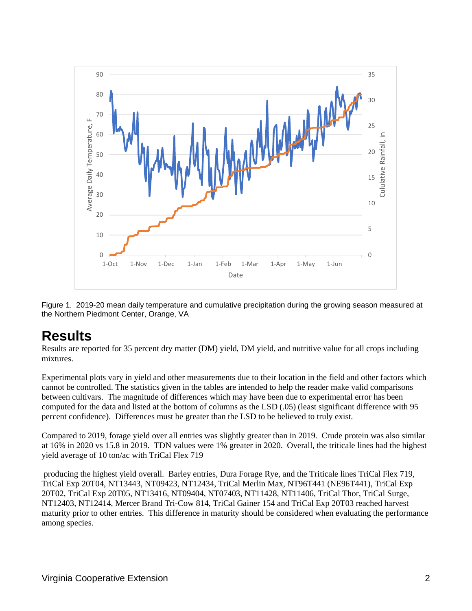

Figure 1. 2019-20 mean daily temperature and cumulative precipitation during the growing season measured at the Northern Piedmont Center, Orange, VA

### **Results**

Results are reported for 35 percent dry matter (DM) yield, DM yield, and nutritive value for all crops including mixtures.

Experimental plots vary in yield and other measurements due to their location in the field and other factors which cannot be controlled. The statistics given in the tables are intended to help the reader make valid comparisons between cultivars. The magnitude of differences which may have been due to experimental error has been computed for the data and listed at the bottom of columns as the LSD (.05) (least significant difference with 95 percent confidence). Differences must be greater than the LSD to be believed to truly exist.

Compared to 2019, forage yield over all entries was slightly greater than in 2019. Crude protein was also similar at 16% in 2020 vs 15.8 in 2019. TDN values were 1% greater in 2020. Overall, the triticale lines had the highest yield average of 10 ton/ac with TriCal Flex 719

producing the highest yield overall. Barley entries, Dura Forage Rye, and the Triticale lines TriCal Flex 719, TriCal Exp 20T04, NT13443, NT09423, NT12434, TriCal Merlin Max, NT96T441 (NE96T441), TriCal Exp 20T02, TriCal Exp 20T05, NT13416, NT09404, NT07403, NT11428, NT11406, TriCal Thor, TriCal Surge, NT12403, NT12414, Mercer Brand Tri-Cow 814, TriCal Gainer 154 and TriCal Exp 20T03 reached harvest maturity prior to other entries. This difference in maturity should be considered when evaluating the performance among species.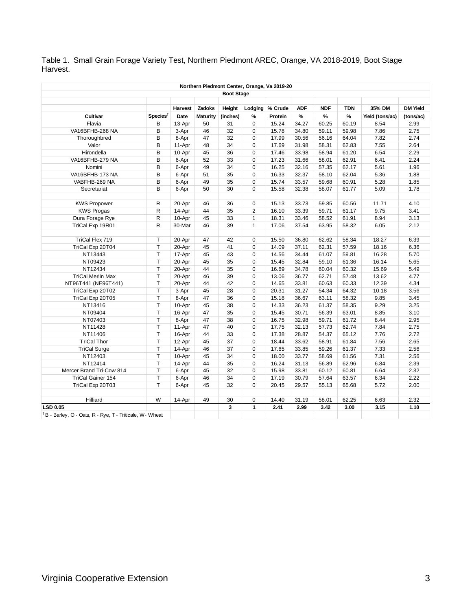Table 1. Small Grain Forage Variety Test, Northern Piedmont AREC, Orange, VA 2018-2019, Boot Stage Harvest.

| Northern Piedmont Center, Orange, Va 2019-20                         |                            |         |                 |          |                |         |            |               |            |                 |                 |
|----------------------------------------------------------------------|----------------------------|---------|-----------------|----------|----------------|---------|------------|---------------|------------|-----------------|-----------------|
| <b>Boot Stage</b>                                                    |                            |         |                 |          |                |         |            |               |            |                 |                 |
|                                                                      |                            | Harvest | Zadoks          | Height   | Lodging        | % Crude | <b>ADF</b> | <b>NDF</b>    | <b>TDN</b> | 35% DM          | <b>DM Yield</b> |
| Cultivar                                                             | $\text{Species}^{\dagger}$ | Date    | <b>Maturity</b> | (inches) | %              | Protein | $\%$       | $\frac{9}{6}$ | $\%$       | Yield (tons/ac) | (tons/ac)       |
| Flavia                                                               | B                          | 13-Apr  | 50              | 31       | $\Omega$       | 15.24   | 34.27      | 60.25         | 60.19      | 8.54            | 2.99            |
| VA16BFHB-268 NA                                                      | B                          | 3-Apr   | 46              | 32       | $\Omega$       | 15.78   | 34.80      | 59.11         | 59.98      | 7.86            | 2.75            |
| Thoroughbred                                                         | B                          | 8-Apr   | 47              | 32       | 0              | 17.99   | 30.56      | 56.16         | 64.04      | 7.82            | 2.74            |
| Valor                                                                | B                          | 11-Apr  | 48              | 34       | 0              | 17.69   | 31.98      | 58.31         | 62.83      | 7.55            | 2.64            |
| Hirondella                                                           | B                          | 10-Apr  | 45              | 36       | 0              | 17.46   | 33.98      | 58.94         | 61.20      | 6.54            | 2.29            |
| VA16BFHB-279 NA                                                      | B                          | 6-Apr   | 52              | 33       | $\Omega$       | 17.23   | 31.66      | 58.01         | 62.91      | 6.41            | 2.24            |
| Nomini                                                               | B                          | 6-Apr   | 49              | 34       | 0              | 16.25   | 32.16      | 57.35         | 62.17      | 5.61            | 1.96            |
| VA16BFHB-173 NA                                                      | B                          | 6-Apr   | 51              | 35       | 0              | 16.33   | 32.37      | 58.10         | 62.04      | 5.36            | 1.88            |
| VABFHB-269 NA                                                        | B                          | 6-Apr   | 49              | 35       | 0              | 15.74   | 33.57      | 59.68         | 60.91      | 5.28            | 1.85            |
| Secretariat                                                          | B                          | 6-Apr   | 50              | 30       | 0              | 15.58   | 32.38      | 58.07         | 61.77      | 5.09            | 1.78            |
|                                                                      |                            |         |                 |          |                |         |            |               |            |                 |                 |
| <b>KWS Propower</b>                                                  | R                          | 20-Apr  | 46              | 36       | $\mathbf 0$    | 15.13   | 33.73      | 59.85         | 60.56      | 11.71           | 4.10            |
| <b>KWS Progas</b>                                                    | R                          | 14-Apr  | 44              | 35       | $\overline{2}$ | 16.10   | 33.39      | 59.71         | 61.17      | 9.75            | 3.41            |
| Dura Forage Rye                                                      | R                          | 10-Apr  | 45              | 33       | $\mathbf{1}$   | 18.31   | 33.46      | 58.52         | 61.91      | 8.94            | 3.13            |
| TriCal Exp 19R01                                                     | R.                         | 30-Mar  | 46              | 39       | $\mathbf{1}$   | 17.06   | 37.54      | 63.95         | 58.32      | 6.05            | 2.12            |
|                                                                      |                            |         |                 |          |                |         |            |               |            |                 |                 |
| TriCal Flex 719                                                      | T                          | 20-Apr  | 47              | 42       | $\mathbf 0$    | 15.50   | 36.80      | 62.62         | 58.34      | 18.27           | 6.39            |
| TriCal Exp 20T04                                                     | T                          | 20-Apr  | 45              | 41       | $\Omega$       | 14.09   | 37.11      | 62.31         | 57.59      | 18.16           | 6.36            |
| NT13443                                                              | T                          | 17-Apr  | 45              | 43       | $\Omega$       | 14.56   | 34.44      | 61.07         | 59.81      | 16.28           | 5.70            |
| NT09423                                                              | T                          | 20-Apr  | 45              | 35       | 0              | 15.45   | 32.84      | 59.10         | 61.36      | 16.14           | 5.65            |
| NT12434                                                              | T                          | 20-Apr  | 44              | 35       | 0              | 16.69   | 34.78      | 60.04         | 60.32      | 15.69           | 5.49            |
| <b>TriCal Merlin Max</b>                                             | T                          | 20-Apr  | 46              | 39       | 0              | 13.06   | 36.77      | 62.71         | 57.48      | 13.62           | 4.77            |
| NT96T441 (NE96T441)                                                  | T                          | 20-Apr  | 44              | 42       | $\mathbf 0$    | 14.65   | 33.81      | 60.63         | 60.33      | 12.39           | 4.34            |
| TriCal Exp 20T02                                                     | T                          | 3-Apr   | 45              | 28       | $\Omega$       | 20.31   | 31.27      | 54.34         | 64.32      | 10.18           | 3.56            |
| TriCal Exp 20T05                                                     | T                          | 8-Apr   | 47              | 36       | 0              | 15.18   | 36.67      | 63.11         | 58.32      | 9.85            | 3.45            |
| NT13416                                                              | T                          | 10-Apr  | 45              | 38       | 0              | 14.33   | 36.23      | 61.37         | 58.35      | 9.29            | 3.25            |
| NT09404                                                              | T                          | 16-Apr  | 47              | 35       | 0              | 15.45   | 30.71      | 56.39         | 63.01      | 8.85            | 3.10            |
| NT07403                                                              | T                          | 8-Apr   | 47              | 38       | 0              | 16.75   | 32.98      | 59.71         | 61.72      | 8.44            | 2.95            |
| NT11428                                                              | T                          | 11-Apr  | 47              | 40       | $\mathbf 0$    | 17.75   | 32.13      | 57.73         | 62.74      | 7.84            | 2.75            |
| NT11406                                                              | T                          | 16-Apr  | 44              | 33       | $\Omega$       | 17.38   | 28.87      | 54.37         | 65.12      | 7.76            | 2.72            |
| <b>TriCal Thor</b>                                                   | T                          | 12-Apr  | 45              | 37       | 0              | 18.44   | 33.62      | 58.91         | 61.84      | 7.56            | 2.65            |
| <b>TriCal Surge</b>                                                  | T                          | 14-Apr  | 46              | 37       | 0              | 17.65   | 33.85      | 59.26         | 61.37      | 7.33            | 2.56            |
| NT12403                                                              | T                          | 10-Apr  | 45              | 34       | $\Omega$       | 18.00   | 33.77      | 58.69         | 61.56      | 7.31            | 2.56            |
| NT12414                                                              | T                          | 14-Apr  | 44              | 35       | 0              | 16.24   | 31.13      | 56.89         | 62.96      | 6.84            | 2.39            |
| Mercer Brand Tri-Cow 814                                             | T                          | 6-Apr   | 45              | 32       | 0              | 15.98   | 33.81      | 60.12         | 60.81      | 6.64            | 2.32            |
| <b>TriCal Gainer 154</b>                                             | T                          | 6-Apr   | 46              | 34       | $\mathbf 0$    | 17.19   | 30.79      | 57.64         | 63.57      | 6.34            | 2.22            |
| TriCal Exp 20T03                                                     | T                          | 6-Apr   | 45              | 32       | 0              | 20.45   | 29.57      | 55.13         | 65.68      | 5.72            | 2.00            |
|                                                                      |                            |         |                 |          |                |         |            |               |            |                 |                 |
| Hilliard                                                             | W                          | 14-Apr  | 49              | 30       | 0              | 14.40   | 31.19      | 58.01         | 62.25      | 6.63            | 2.32            |
| <b>LSD 0.05</b>                                                      |                            |         |                 | 3        | $\mathbf{1}$   | 2.41    | 2.99       | 3.42          | 3.00       | 3.15            | 1.10            |
| <sup>†</sup> B - Barley, O - Oats, R - Rye, T - Triticale, W - Wheat |                            |         |                 |          |                |         |            |               |            |                 |                 |